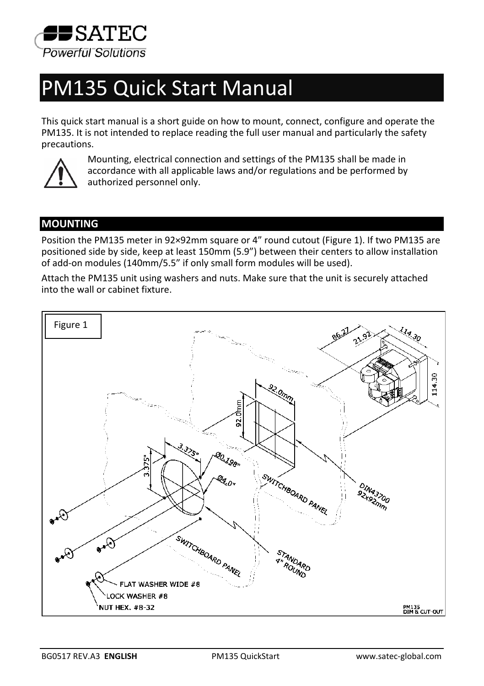

# PM135 Quick Start Manual

This quick start manual is a short guide on how to mount, connect, configure and operate the PM135. It is not intended to replace reading the full user manual and particularly the safety precautions.



Mounting, electrical connection and settings of the PM135 shall be made in accordance with all applicable laws and/or regulations and be performed by authorized personnel only.

## **MOUNTING**

Position the PM135 meter in 92×92mm square or 4" round cutout (Figure 1). If two PM135 are positioned side by side, keep at least 150mm (5.9") between their centers to allow installation of add-on modules (140mm/5.5" if only small form modules will be used).

Attach the PM135 unit using washers and nuts. Make sure that the unit is securely attached into the wall or cabinet fixture.

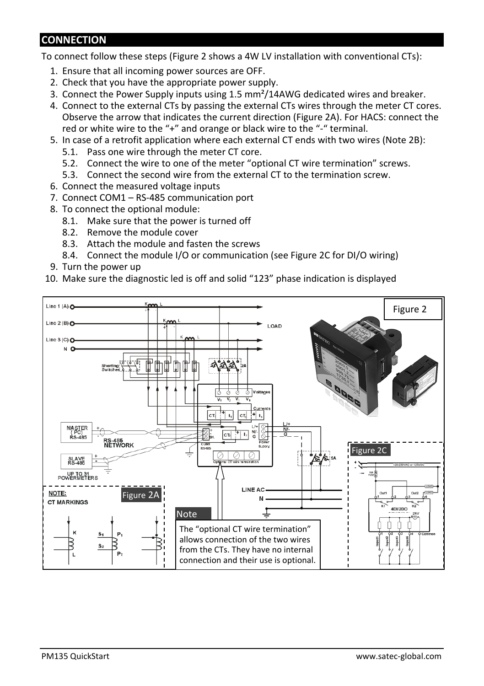## **CONNECTION**

To connect follow these steps (Figure 2 shows a 4W LV installation with conventional CTs):

- 1. Ensure that all incoming power sources are OFF.
- 2. Check that you have the appropriate power supply.
- 3. Connect the Power Supply inputs using 1.5 mm²/14AWG dedicated wires and breaker.
- 4. Connect to the external CTs by passing the external CTs wires through the meter CT cores. Observe the arrow that indicates the current direction (Figure 2A). For HACS: connect the red or white wire to the "+" and orange or black wire to the "-" terminal.
- 5. In case of a retrofit application where each external CT ends with two wires (Note 2B):
	- 5.1. Pass one wire through the meter CT core.
	- 5.2. Connect the wire to one of the meter "optional CT wire termination" screws.
	- 5.3. Connect the second wire from the external CT to the termination screw.
- 6. Connect the measured voltage inputs
- 7. Connect COM1 RS-485 communication port
- 8. To connect the optional module:
	- 8.1. Make sure that the power is turned off
	- 8.2. Remove the module cover
	- 8.3. Attach the module and fasten the screws
	- 8.4. Connect the module I/O or communication (see Figure 2C for DI/O wiring)
- 9. Turn the power up
- 10. Make sure the diagnostic led is off and solid "123" phase indication is displayed

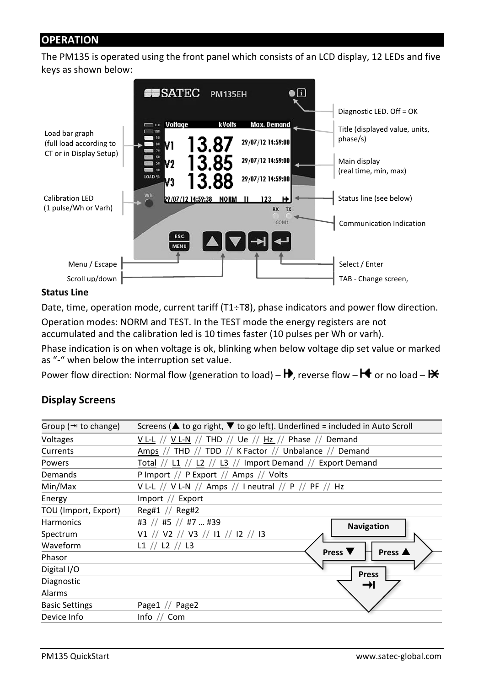### **OPERATION**

The PM135 is operated using the front panel which consists of an LCD display, 12 LEDs and five keys as shown below:



#### **Status Line**

Date, time, operation mode, current tariff (T1÷T8), phase indicators and power flow direction.

Operation modes: NORM and TEST. In the TEST mode the energy registers are not accumulated and the calibration led is 10 times faster (10 pulses per Wh or varh).

Phase indication is on when voltage is ok, blinking when below voltage dip set value or marked as "-" when below the interruption set value.

Power flow direction: Normal flow (generation to load) –  $\mathbf{H}$ , reverse flow –  $\mathbf{H}$  or no load –  $\mathbf{H}$ 

#### **Display Screens**

| Group ( $\rightarrow$ to change) | Screens ( $\triangle$ to go right, $\nabla$ to go left). Underlined = included in Auto Scroll |  |  |
|----------------------------------|-----------------------------------------------------------------------------------------------|--|--|
| Voltages                         | $V L-L$ // $V L-N$ // THD // Ue // Hz // Phase // Demand                                      |  |  |
| Currents                         | Amps // THD // TDD // K Factor // Unbalance // Demand                                         |  |  |
| Powers                           | Total // L1 // L2 // L3 // Import Demand // Export Demand                                     |  |  |
| Demands                          | P Import // P Export // Amps // Volts                                                         |  |  |
| Min/Max                          | V L-L // V L-N // Amps // I neutral // P // PF // Hz                                          |  |  |
| Energy                           | Import $//$ Export                                                                            |  |  |
| TOU (Import, Export)             | $Reg#1$ // $Reg#2$                                                                            |  |  |
| <b>Harmonics</b>                 | #3 // #5 // #7  #39<br>Navigation                                                             |  |  |
| Spectrum                         | V1 // V2 // V3 // I1 // I2 // I3                                                              |  |  |
| Waveform                         | L1 // L2 // L3                                                                                |  |  |
| Phasor                           | Press $\blacktriangledown$<br>Press A                                                         |  |  |
| Digital I/O                      | <b>Press</b>                                                                                  |  |  |
| Diagnostic                       | ⇥                                                                                             |  |  |
| Alarms                           |                                                                                               |  |  |
| <b>Basic Settings</b>            | Page1 // Page2                                                                                |  |  |
| Device Info                      | Info $//$ Com                                                                                 |  |  |